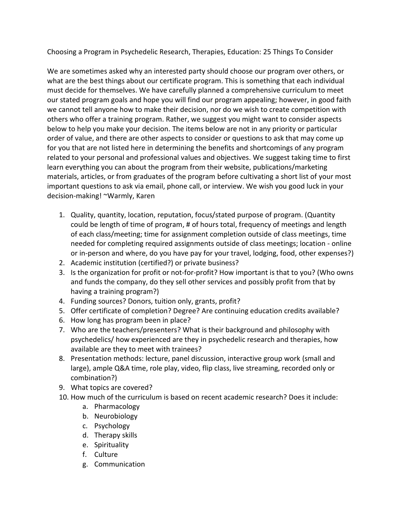Choosing a Program in Psychedelic Research, Therapies, Education: 25 Things To Consider

We are sometimes asked why an interested party should choose our program over others, or what are the best things about our certificate program. This is something that each individual must decide for themselves. We have carefully planned a comprehensive curriculum to meet our stated program goals and hope you will find our program appealing; however, in good faith we cannot tell anyone how to make their decision, nor do we wish to create competition with others who offer a training program. Rather, we suggest you might want to consider aspects below to help you make your decision. The items below are not in any priority or particular order of value, and there are other aspects to consider or questions to ask that may come up for you that are not listed here in determining the benefits and shortcomings of any program related to your personal and professional values and objectives. We suggest taking time to first learn everything you can about the program from their website, publications/marketing materials, articles, or from graduates of the program before cultivating a short list of your most important questions to ask via email, phone call, or interview. We wish you good luck in your decision-making! ~Warmly, Karen

- 1. Quality, quantity, location, reputation, focus/stated purpose of program. (Quantity could be length of time of program, # of hours total, frequency of meetings and length of each class/meeting; time for assignment completion outside of class meetings, time needed for completing required assignments outside of class meetings; location - online or in-person and where, do you have pay for your travel, lodging, food, other expenses?)
- 2. Academic institution (certified?) or private business?
- 3. Is the organization for profit or not-for-profit? How important is that to you? (Who owns and funds the company, do they sell other services and possibly profit from that by having a training program?)
- 4. Funding sources? Donors, tuition only, grants, profit?
- 5. Offer certificate of completion? Degree? Are continuing education credits available?
- 6. How long has program been in place?
- 7. Who are the teachers/presenters? What is their background and philosophy with psychedelics/ how experienced are they in psychedelic research and therapies, how available are they to meet with trainees?
- 8. Presentation methods: lecture, panel discussion, interactive group work (small and large), ample Q&A time, role play, video, flip class, live streaming, recorded only or combination?)
- 9. What topics are covered?
- 10. How much of the curriculum is based on recent academic research? Does it include:
	- a. Pharmacology
	- b. Neurobiology
	- c. Psychology
	- d. Therapy skills
	- e. Spirituality
	- f. Culture
	- g. Communication